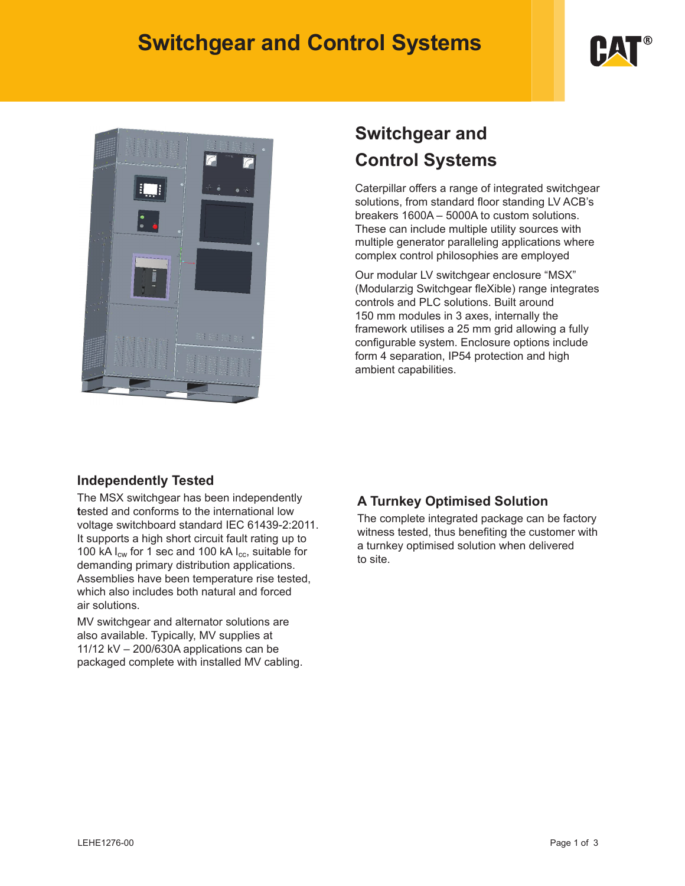# **Switchgear and Control Systems**





# **Switchgear and Control Systems**

Caterpillar offers a range of integrated switchgear solutions, from standard floor standing LV ACB's breakers 1600A – 5000A to custom solutions. These can include multiple utility sources with multiple generator paralleling applications where complex control philosophies are employed

Our modular LV switchgear enclosure "MSX" (Modularzig Switchgear fleXible) range integrates controls and PLC solutions. Built around 150 mm modules in 3 axes, internally the framework utilises a 25 mm grid allowing a fully configurable system. Enclosure options include form 4 separation, IP54 protection and high ambient capabilities.

## **Independently Tested**

The MSX switchgear has been independently **t**ested and conforms to the international low voltage switchboard standard IEC 61439-2:2011. It supports a high short circuit fault rating up to 100 kA  $I_{cw}$  for 1 sec and 100 kA  $I_{cc}$ , suitable for demanding primary distribution applications. Assemblies have been temperature rise tested, which also includes both natural and forced air solutions.

MV switchgear and alternator solutions are also available. Typically, MV supplies at 11/12 kV – 200/630A applications can be packaged complete with installed MV cabling.

## **A Turnkey Optimised Solution**

The complete integrated package can be factory witness tested, thus benefiting the customer with a turnkey optimised solution when delivered to site.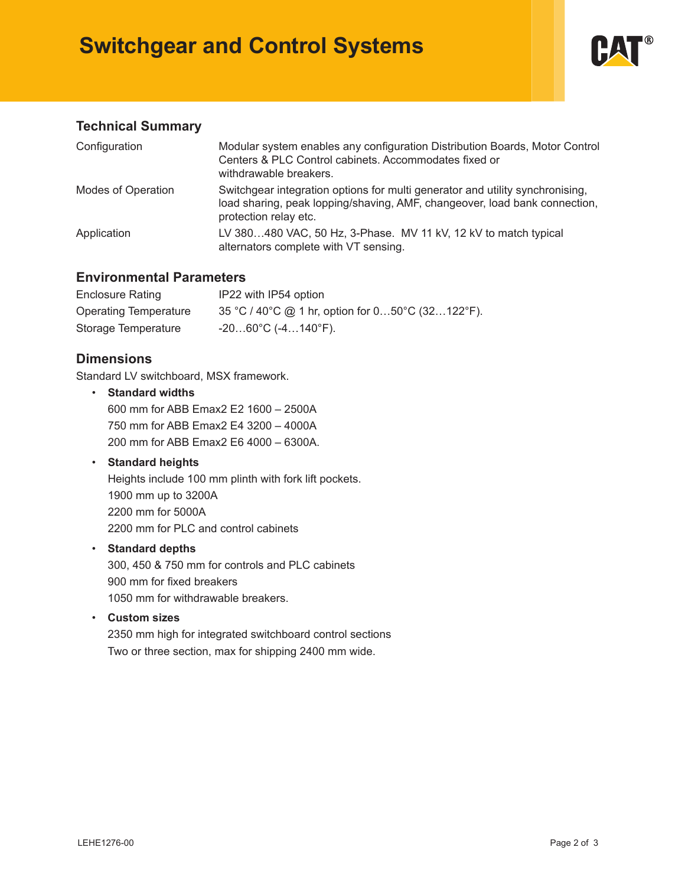# **Switchgear and Control Systems**



## **Technical Summary**

| Configuration      | Modular system enables any configuration Distribution Boards, Motor Control<br>Centers & PLC Control cabinets. Accommodates fixed or<br>withdrawable breakers.                       |
|--------------------|--------------------------------------------------------------------------------------------------------------------------------------------------------------------------------------|
| Modes of Operation | Switchgear integration options for multi generator and utility synchronising,<br>load sharing, peak lopping/shaving, AMF, changeover, load bank connection,<br>protection relay etc. |
| Application        | LV 380480 VAC, 50 Hz, 3-Phase. MV 11 kV, 12 kV to match typical<br>alternators complete with VT sensing.                                                                             |

### **Environmental Parameters**

| Enclosure Rating      | IP22 with IP54 option                               |
|-----------------------|-----------------------------------------------------|
| Operating Temperature | 35 °C / 40°C @ 1 hr, option for $050$ °C (32122°F). |
| Storage Temperature   | $-2060^{\circ}$ C (-4140 $^{\circ}$ F).             |

## **Dimensions**

Standard LV switchboard, MSX framework.

• **Standard widths** 600 mm for ABB Emax2 E2 1600 – 2500A 750 mm for ABB Emax2 E4 3200 – 4000A 200 mm for ABB Emax2 E6 4000 – 6300A.

### • **Standard heights**

Heights include 100 mm plinth with fork lift pockets. 1900 mm up to 3200A 2200 mm for 5000A 2200 mm for PLC and control cabinets

#### • **Standard depths**

300, 450 & 750 mm for controls and PLC cabinets 900 mm for fixed breakers 1050 mm for withdrawable breakers.

• **Custom sizes**

2350 mm high for integrated switchboard control sections Two or three section, max for shipping 2400 mm wide.